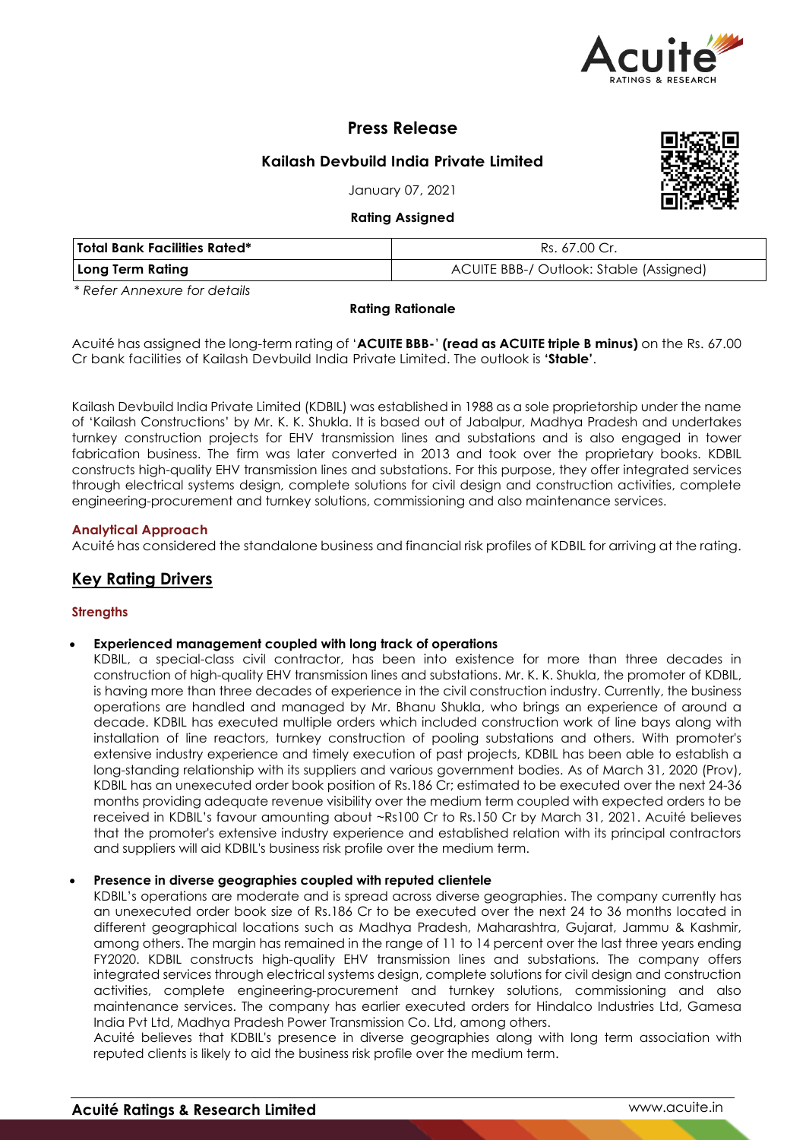

# **Press Release**

# **Kailash Devbuild India Private Limited**

January 07, 2021

# **Rating Assigned**



| <b>Total Bank Facilities Rated*</b> | Rs. 67.00 Cr.                           |  |  |
|-------------------------------------|-----------------------------------------|--|--|
| Long Term Rating                    | ACUITE BBB-/ Outlook: Stable (Assigned) |  |  |

*\* Refer Annexure for details*

# **Rating Rationale**

Acuité has assigned the long-term rating of '**ACUITE BBB-**' **(read as ACUITE triple B minus)** on the Rs. 67.00 Cr bank facilities of Kailash Devbuild India Private Limited. The outlook is **'Stable'**.

Kailash Devbuild India Private Limited (KDBIL) was established in 1988 as a sole proprietorship under the name of 'Kailash Constructions' by Mr. K. K. Shukla. It is based out of Jabalpur, Madhya Pradesh and undertakes turnkey construction projects for EHV transmission lines and substations and is also engaged in tower fabrication business. The firm was later converted in 2013 and took over the proprietary books. KDBIL constructs high-quality EHV transmission lines and substations. For this purpose, they offer integrated services through electrical systems design, complete solutions for civil design and construction activities, complete engineering-procurement and turnkey solutions, commissioning and also maintenance services.

# **Analytical Approach**

Acuité has considered the standalone business and financial risk profiles of KDBIL for arriving at the rating.

# **Key Rating Drivers**

# **Strengths**

#### **Experienced management coupled with long track of operations**

KDBIL, a special-class civil contractor, has been into existence for more than three decades in construction of high-quality EHV transmission lines and substations. Mr. K. K. Shukla, the promoter of KDBIL, is having more than three decades of experience in the civil construction industry. Currently, the business operations are handled and managed by Mr. Bhanu Shukla, who brings an experience of around a decade. KDBIL has executed multiple orders which included construction work of line bays along with installation of line reactors, turnkey construction of pooling substations and others. With promoter's extensive industry experience and timely execution of past projects, KDBIL has been able to establish a long-standing relationship with its suppliers and various government bodies. As of March 31, 2020 (Prov), KDBIL has an unexecuted order book position of Rs.186 Cr; estimated to be executed over the next 24-36 months providing adequate revenue visibility over the medium term coupled with expected orders to be received in KDBIL's favour amounting about ~Rs100 Cr to Rs.150 Cr by March 31, 2021. Acuité believes that the promoter's extensive industry experience and established relation with its principal contractors and suppliers will aid KDBIL's business risk profile over the medium term.

#### **Presence in diverse geographies coupled with reputed clientele**

KDBIL's operations are moderate and is spread across diverse geographies. The company currently has an unexecuted order book size of Rs.186 Cr to be executed over the next 24 to 36 months located in different geographical locations such as Madhya Pradesh, Maharashtra, Gujarat, Jammu & Kashmir, among others. The margin has remained in the range of 11 to 14 percent over the last three years ending FY2020. KDBIL constructs high-quality EHV transmission lines and substations. The company offers integrated services through electrical systems design, complete solutions for civil design and construction activities, complete engineering-procurement and turnkey solutions, commissioning and also maintenance services. The company has earlier executed orders for Hindalco Industries Ltd, Gamesa India Pvt Ltd, Madhya Pradesh Power Transmission Co. Ltd, among others.

Acuité believes that KDBIL's presence in diverse geographies along with long term association with reputed clients is likely to aid the business risk profile over the medium term.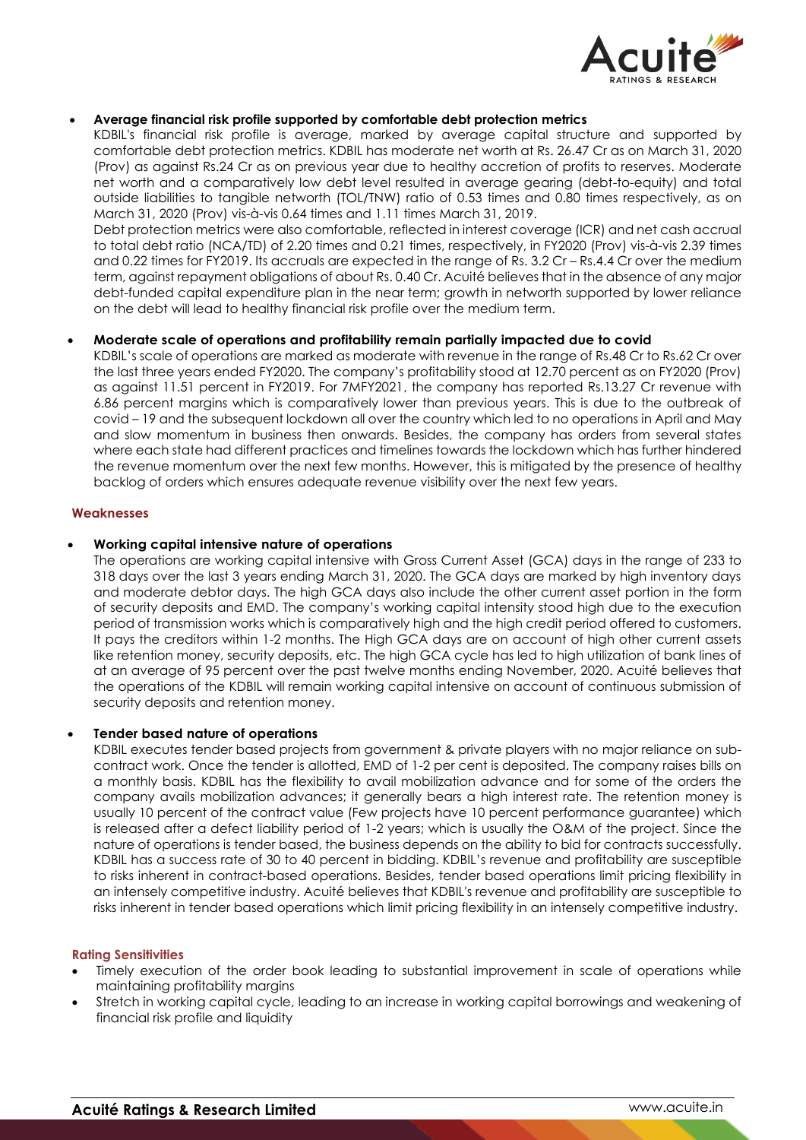

# **Average financial risk profile supported by comfortable debt protection metrics**

KDBIL's financial risk profile is average, marked by average capital structure and supported by comfortable debt protection metrics. KDBIL has moderate net worth at Rs. 26.47 Cr as on March 31, 2020 (Prov) as against Rs.24 Cr as on previous year due to healthy accretion of profits to reserves. Moderate net worth and a comparatively low debt level resulted in average gearing (debt-to-equity) and total outside liabilities to tangible networth (TOL/TNW) ratio of 0.53 times and 0.80 times respectively, as on March 31, 2020 (Prov) vis-à-vis 0.64 times and 1.11 times March 31, 2019.

Debt protection metrics were also comfortable, reflected in interest coverage (ICR) and net cash accrual to total debt ratio (NCA/TD) of 2.20 times and 0.21 times, respectively, in FY2020 (Prov) vis-à-vis 2.39 times and 0.22 times for FY2019. Its accruals are expected in the range of Rs. 3.2 Cr – Rs.4.4 Cr over the medium term, against repayment obligations of about Rs. 0.40 Cr. Acuité believes that in the absence of any major debt-funded capital expenditure plan in the near term; growth in networth supported by lower reliance on the debt will lead to healthy financial risk profile over the medium term.

# **Moderate scale of operations and profitability remain partially impacted due to covid**

KDBIL's scale of operations are marked as moderate with revenue in the range of Rs.48 Cr to Rs.62 Cr over the last three years ended FY2020. The company's profitability stood at 12.70 percent as on FY2020 (Prov) as against 11.51 percent in FY2019. For 7MFY2021, the company has reported Rs.13.27 Cr revenue with 6.86 percent margins which is comparatively lower than previous years. This is due to the outbreak of covid – 19 and the subsequent lockdown all over the country which led to no operations in April and May and slow momentum in business then onwards. Besides, the company has orders from several states where each state had different practices and timelines towards the lockdown which has further hindered the revenue momentum over the next few months. However, this is mitigated by the presence of healthy backlog of orders which ensures adequate revenue visibility over the next few years.

# **Weaknesses**

# **Working capital intensive nature of operations**

The operations are working capital intensive with Gross Current Asset (GCA) days in the range of 233 to 318 days over the last 3 years ending March 31, 2020. The GCA days are marked by high inventory days and moderate debtor days. The high GCA days also include the other current asset portion in the form of security deposits and EMD. The company's working capital intensity stood high due to the execution period of transmission works which is comparatively high and the high credit period offered to customers. It pays the creditors within 1-2 months. The High GCA days are on account of high other current assets like retention money, security deposits, etc. The high GCA cycle has led to high utilization of bank lines of at an average of 95 percent over the past twelve months ending November, 2020. Acuité believes that the operations of the KDBIL will remain working capital intensive on account of continuous submission of security deposits and retention money.

#### **Tender based nature of operations**

KDBIL executes tender based projects from government & private players with no major reliance on subcontract work. Once the tender is allotted, EMD of 1-2 per cent is deposited. The company raises bills on a monthly basis. KDBIL has the flexibility to avail mobilization advance and for some of the orders the company avails mobilization advances; it generally bears a high interest rate. The retention money is usually 10 percent of the contract value (Few projects have 10 percent performance guarantee) which is released after a defect liability period of 1-2 years; which is usually the O&M of the project. Since the nature of operations is tender based, the business depends on the ability to bid for contracts successfully. KDBIL has a success rate of 30 to 40 percent in bidding. KDBIL's revenue and profitability are susceptible to risks inherent in contract-based operations. Besides, tender based operations limit pricing flexibility in an intensely competitive industry. Acuité believes that KDBIL's revenue and profitability are susceptible to risks inherent in tender based operations which limit pricing flexibility in an intensely competitive industry.

#### **Rating Sensitivities**

- Timely execution of the order book leading to substantial improvement in scale of operations while maintaining profitability margins
- Stretch in working capital cycle, leading to an increase in working capital borrowings and weakening of financial risk profile and liquidity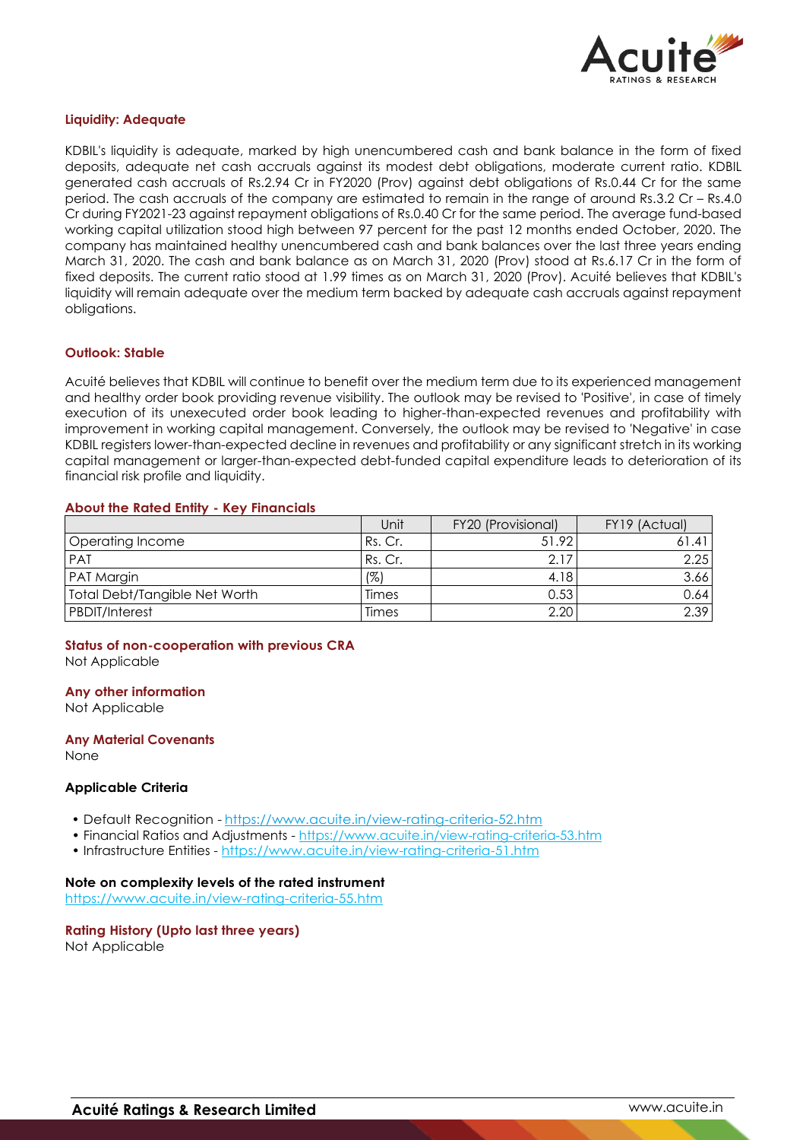

#### **Liquidity: Adequate**

KDBIL's liquidity is adequate, marked by high unencumbered cash and bank balance in the form of fixed deposits, adequate net cash accruals against its modest debt obligations, moderate current ratio. KDBIL generated cash accruals of Rs.2.94 Cr in FY2020 (Prov) against debt obligations of Rs.0.44 Cr for the same period. The cash accruals of the company are estimated to remain in the range of around Rs.3.2 Cr – Rs.4.0 Cr during FY2021-23 against repayment obligations of Rs.0.40 Cr for the same period. The average fund-based working capital utilization stood high between 97 percent for the past 12 months ended October, 2020. The company has maintained healthy unencumbered cash and bank balances over the last three years ending March 31, 2020. The cash and bank balance as on March 31, 2020 (Prov) stood at Rs.6.17 Cr in the form of fixed deposits. The current ratio stood at 1.99 times as on March 31, 2020 (Prov). Acuité believes that KDBIL's liquidity will remain adequate over the medium term backed by adequate cash accruals against repayment obligations.

#### **Outlook: Stable**

Acuité believes that KDBIL will continue to benefit over the medium term due to its experienced management and healthy order book providing revenue visibility. The outlook may be revised to 'Positive', in case of timely execution of its unexecuted order book leading to higher-than-expected revenues and profitability with improvement in working capital management. Conversely, the outlook may be revised to 'Negative' in case KDBIL registers lower-than-expected decline in revenues and profitability or any significant stretch in its working capital management or larger-than-expected debt-funded capital expenditure leads to deterioration of its financial risk profile and liquidity.

#### **About the Rated Entity - Key Financials**

|                               | Unit    | FY20 (Provisional) | FY19 (Actual) |
|-------------------------------|---------|--------------------|---------------|
| <b>Operating Income</b>       | Rs. Cr. | 51.92              |               |
| <b>PAT</b>                    | Rs. Cr. | 2.1                | 2.25          |
| <b>PAT Margin</b>             | (%)     | 4.18               | 3.66          |
| Total Debt/Tangible Net Worth | Times   | 0.53               | 0.641         |
| <b>PBDIT/Interest</b>         | Times   | 2.20               | 2.39          |

# **Status of non-cooperation with previous CRA**

Not Applicable

#### **Any other information**

Not Applicable

#### **Any Material Covenants**

None

# **Applicable Criteria**

- Default Recognition https://www.acuite.in/view-rating-criteria-52.htm
- Financial Ratios and Adjustments https://www.acuite.in/view-rating-criteria-53.htm
- Infrastructure Entities https://www.acuite.in/view-rating-criteria-51.htm

#### **Note on complexity levels of the rated instrument**

https://www.acuite.in/view-rating-criteria-55.htm

#### **Rating History (Upto last three years)** Not Applicable